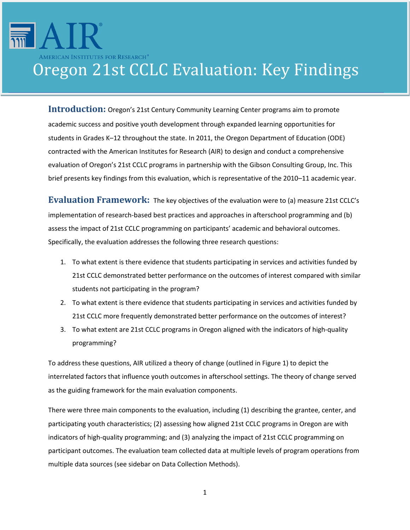# AMERICAN INSTITUTES FOR RESEARCH® Oregon 21st CCLC Evaluation: Key Findings

**Introduction:** Oregon's 21st Century Community Learning Center programs aim to promote academic success and positive youth development through expanded learning opportunities for students in Grades K–12 throughout the state. In 2011, the Oregon Department of Education (ODE) contracted with the American Institutes for Research (AIR) to design and conduct a comprehensive evaluation of Oregon's 21st CCLC programs in partnership with the Gibson Consulting Group, Inc. This brief presents key findings from this evaluation, which is representative of the 2010–11 academic year.

**Evaluation Framework:** The key objectives of the evaluation were to (a) measure 21st CCLC's implementation of research-based best practices and approaches in afterschool programming and (b) assess the impact of 21st CCLC programming on participants' academic and behavioral outcomes. Specifically, the evaluation addresses the following three research questions:

- 1. To what extent is there evidence that students participating in services and activities funded by 21st CCLC demonstrated better performance on the outcomes of interest compared with similar students not participating in the program?
- 2. To what extent is there evidence that students participating in services and activities funded by 21st CCLC more frequently demonstrated better performance on the outcomes of interest?
- 3. To what extent are 21st CCLC programs in Oregon aligned with the indicators of high-quality programming?

To address these questions, AIR utilized a theory of change (outlined in Figure 1) to depict the interrelated factors that influence youth outcomes in afterschool settings. The theory of change served as the guiding framework for the main evaluation components.

There were three main components to the evaluation, including (1) describing the grantee, center, and participating youth characteristics; (2) assessing how aligned 21st CCLC programs in Oregon are with indicators of high-quality programming; and (3) analyzing the impact of 21st CCLC programming on participant outcomes. The evaluation team collected data at multiple levels of program operations from multiple data sources (see sidebar on Data Collection Methods).

1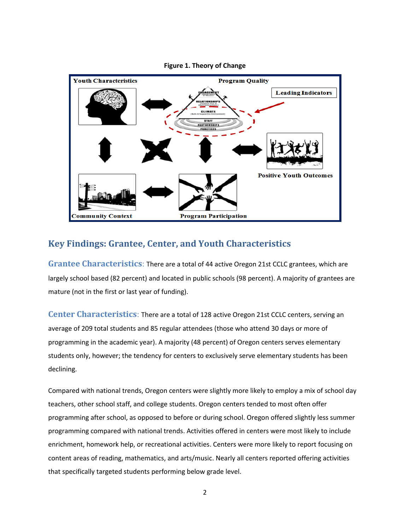

#### **Figure 1. Theory of Change**

### **Key Findings: Grantee, Center, and Youth Characteristics**

**Grantee Characteristics**: There are a total of 44 active Oregon 21st CCLC grantees, which are largely school based (82 percent) and located in public schools (98 percent). A majority of grantees are mature (not in the first or last year of funding).

**Center Characteristics**: There are a total of 128 active Oregon 21st CCLC centers, serving an average of 209 total students and 85 regular attendees (those who attend 30 days or more of programming in the academic year). A majority (48 percent) of Oregon centers serves elementary students only, however; the tendency for centers to exclusively serve elementary students has been declining.

Compared with national trends, Oregon centers were slightly more likely to employ a mix of school day teachers, other school staff, and college students. Oregon centers tended to most often offer programming after school, as opposed to before or during school. Oregon offered slightly less summer programming compared with national trends. Activities offered in centers were most likely to include enrichment, homework help, or recreational activities. Centers were more likely to report focusing on content areas of reading, mathematics, and arts/music. Nearly all centers reported offering activities that specifically targeted students performing below grade level.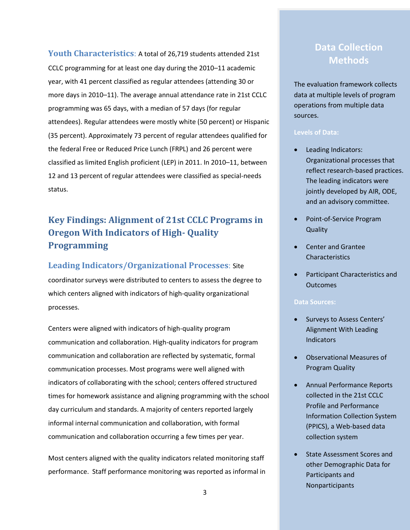**Youth Characteristics**: A total of 26,719 students attended 21st CCLC programming for at least one day during the 2010–11 academic year, with 41 percent classified as regular attendees (attending 30 or more days in 2010–11). The average annual attendance rate in 21st CCLC programming was 65 days, with a median of 57 days (for regular attendees). Regular attendees were mostly white (50 percent) or Hispanic (35 percent). Approximately 73 percent of regular attendees qualified for the federal Free or Reduced Price Lunch (FRPL) and 26 percent were classified as limited English proficient (LEP) in 2011. In 2010–11, between 12 and 13 percent of regular attendees were classified as special-needs status.

## **Key Findings: Alignment of 21st CCLC Programs in Oregon With Indicators of High- Quality Programming**

#### **Leading Indicators/Organizational Processes**: Site

coordinator surveys were distributed to centers to assess the degree to which centers aligned with indicators of high-quality organizational processes.

Centers were aligned with indicators of high-quality program communication and collaboration. High-quality indicators for program communication and collaboration are reflected by systematic, formal communication processes. Most programs were well aligned with indicators of collaborating with the school; centers offered structured times for homework assistance and aligning programming with the school day curriculum and standards. A majority of centers reported largely informal internal communication and collaboration, with formal communication and collaboration occurring a few times per year.

Most centers aligned with the quality indicators related monitoring staff performance. Staff performance monitoring was reported as informal in

## **Data Collection Methods**

The evaluation framework collects data at multiple levels of program operations from multiple data sources.

#### **Levels of Data:**

- Leading Indicators: Organizational processes that reflect research-based practices. The leading indicators were jointly developed by AIR, ODE, and an advisory committee.
- Point-of-Service Program **Quality**
- Center and Grantee Characteristics
- Participant Characteristics and **Outcomes**

#### **Data Sources:**

- Surveys to Assess Centers' Alignment With Leading **Indicators**
- Observational Measures of Program Quality
- Annual Performance Reports collected in the 21st CCLC Profile and Performance Information Collection System (PPICS), a Web-based data collection system
- State Assessment Scores and other Demographic Data for Participants and Nonparticipants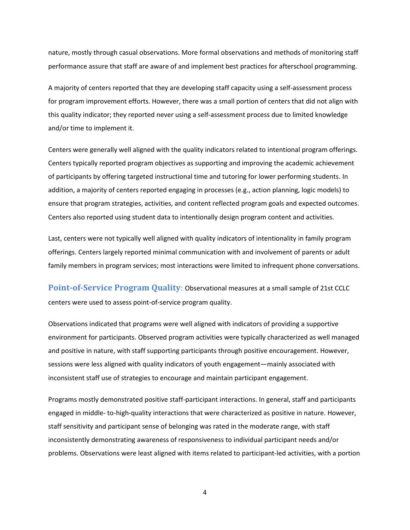nature, mostly through casual observations. More formal observations and methods of monitoring staff performance assure that staff are aware of and implement best practices for afterschool programming.

A majority of centers reported that they are developing staff capacity using a self-assessment process for program improvement efforts. However, there was a small portion of centers that did not align with this quality indicator; they reported never using a self-assessment process due to limited knowledge and/or time to implement it.

Centers were generally well aligned with the quality indicators related to intentional program offerings. Centers typically reported program objectives as supporting and improving the academic achievement of participants by offering targeted instructional time and tutoring for lower performing students. In addition, a majority of centers reported engaging in processes (e.g., action planning, logic models) to ensure that program strategies, activities, and content reflected program goals and expected outcomes. Centers also reported using student data to intentionally design program content and activities.

Last, centers were not typically well aligned with quality indicators of intentionality in family program offerings. Centers largely reported minimal communication with and involvement of parents or adult family members in program services; most interactions were limited to infrequent phone conversations.

**Point-of-Service Program Quality**: Observational measures at a small sample of 21st CCLC centers were used to assess point-of-service program quality.

Observations indicated that programs were well aligned with indicators of providing a supportive environment for participants. Observed program activities were typically characterized as well managed and positive in nature, with staff supporting participants through positive encouragement. However, sessions were less aligned with quality indicators of youth engagement—mainly associated with inconsistent staff use of strategies to encourage and maintain participant engagement.

Programs mostly demonstrated positive staff-participant interactions. In general, staff and participants engaged in middle- to-high-quality interactions that were characterized as positive in nature. However, staff sensitivity and participant sense of belonging was rated in the moderate range, with staff inconsistently demonstrating awareness of responsiveness to individual participant needs and/or problems. Observations were least aligned with items related to participant-led activities, with a portion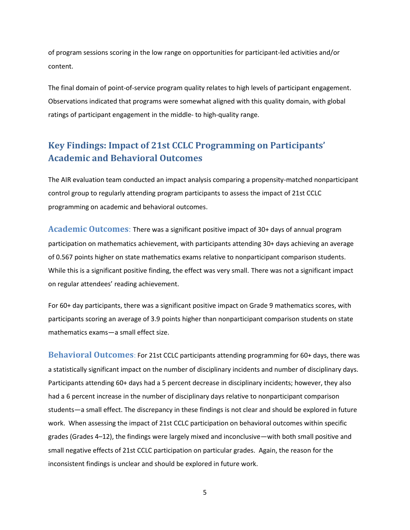of program sessions scoring in the low range on opportunities for participant-led activities and/or content.

The final domain of point-of-service program quality relates to high levels of participant engagement. Observations indicated that programs were somewhat aligned with this quality domain, with global ratings of participant engagement in the middle- to high-quality range.

## **Key Findings: Impact of 21st CCLC Programming on Participants' Academic and Behavioral Outcomes**

The AIR evaluation team conducted an impact analysis comparing a propensity-matched nonparticipant control group to regularly attending program participants to assess the impact of 21st CCLC programming on academic and behavioral outcomes.

**Academic Outcomes**: There was a significant positive impact of 30+ days of annual program participation on mathematics achievement, with participants attending 30+ days achieving an average of 0.567 points higher on state mathematics exams relative to nonparticipant comparison students. While this is a significant positive finding, the effect was very small. There was not a significant impact on regular attendees' reading achievement.

For 60+ day participants, there was a significant positive impact on Grade 9 mathematics scores, with participants scoring an average of 3.9 points higher than nonparticipant comparison students on state mathematics exams—a small effect size.

**Behavioral Outcomes**: For 21st CCLC participants attending programming for 60+ days, there was a statistically significant impact on the number of disciplinary incidents and number of disciplinary days. Participants attending 60+ days had a 5 percent decrease in disciplinary incidents; however, they also had a 6 percent increase in the number of disciplinary days relative to nonparticipant comparison students—a small effect. The discrepancy in these findings is not clear and should be explored in future work. When assessing the impact of 21st CCLC participation on behavioral outcomes within specific grades (Grades 4–12), the findings were largely mixed and inconclusive—with both small positive and small negative effects of 21st CCLC participation on particular grades. Again, the reason for the inconsistent findings is unclear and should be explored in future work.